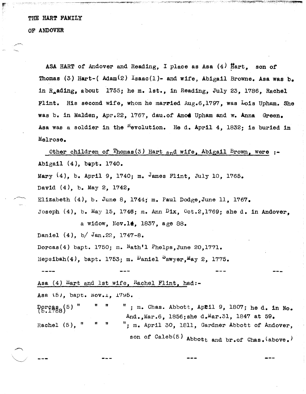## THE HART FAMILY OF ANDOVER

ASA HART of Andover and Reading, I place as Asa  $(4)$  Hart, son of Thomas (3) Hart-( $Adam(2)$  Isaac(1)- and wife, Abigail Browne. Asa was b. in R<sub>a</sub>ading, about 1755; he m. 1st., in Reading, July 23, 1786, Rachel Flint. His second wife, whom he married Aug.6,1797, was Lois Upham. She was b. in Malden, Apr.22, 1767, dau.of Amod Upham and w. Anna Green. Asa was a soldier in the  $K$ -evolution. He d. April 4, 1832; is buried in Melrose.

Other children of  $\text{Thomas}(3)$  Hart and wife, Abigail Brown, were :-Abigail (4), bapt. 1740. Mary (4), b. April 9, 1740; m. James Flint, July 10, 1765. David (4), b. May 2, 1742, Elizabeth  $(4)$ , b. June 8, 1744; m. Paul Dodge, June 11, 1767. Joseph  $(4)$ , b. May 15, 1746; m. Ann Dix, Oct.2,1769; she d. in Andover. a widow, Nov.  $14$ , 1837, age 88. Daniel (4), *bl* Jan.22, 1747-8. Dorcas(4) bapt. 1750; m.  $Nath'1$  Phelps, June 20,1771. Hepsibah(4), bapt. 1753; m.  $\nu$ aniel  $\lambda$ awyer, May 2, 1775. Asa (4) Hart and 1st wife, Rachel Flint, had:-Asa (5), bapt. Nov.1, 1795. tt n  $"$  : m. Chas. Abbott, Aptil 9, 1807; he d. in No. And., Mar.6, 1856; she d. Mar.31, 1847 at 59. Rachel  $(5)$ , "  $"$ ; m. April 30, 1811, Gardner Abbott of Andover. son of  $Calcb(5)$  Abbott and br.of  $Chas.$  (above.)